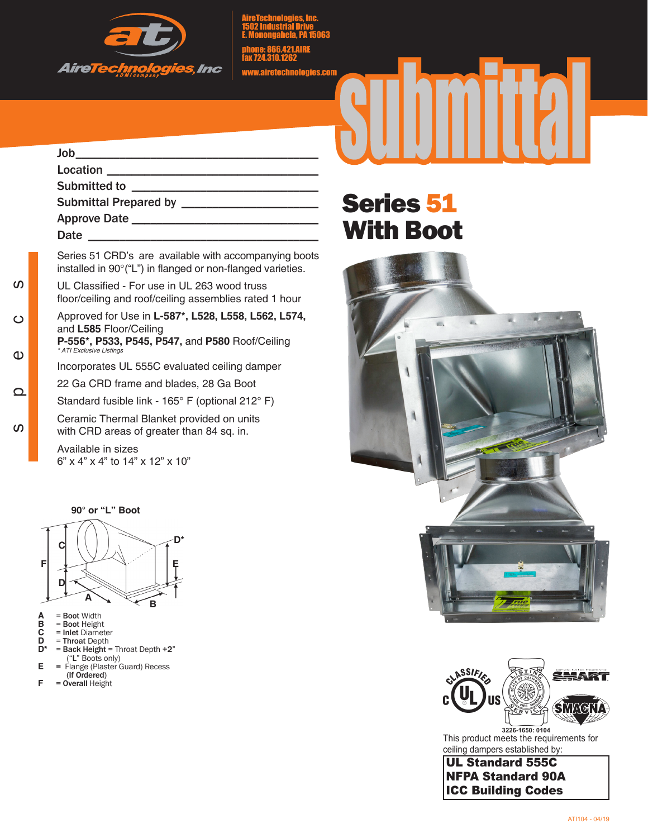

AireTechnologies, Inc. 1502 Industrial Drive E. Monongahela, PA 15063

phone: 866.421.AIRE fax 724.310.1262

www.airetechnologies.com

## $\mathsf{Job}$ Location \_\_\_\_\_\_\_\_\_\_\_\_\_\_\_\_\_\_\_\_\_\_\_\_\_\_\_\_\_\_\_\_\_\_ Submitted to \_\_\_\_\_\_\_\_\_\_\_\_\_\_\_\_\_\_\_\_\_\_\_\_\_\_\_\_\_\_ Submittal Prepared by \_\_\_\_\_\_\_\_\_\_\_\_\_\_\_\_\_\_\_\_\_\_ Approve Date \_\_\_\_\_\_\_\_\_\_\_\_\_\_\_\_\_\_\_\_\_\_\_\_\_\_\_\_\_\_ Date  $\Box$

Series 51 CRD's are available with accompanying boots installed in 90°("L") in flanged or non-flanged varieties.

UL Classified - For use in UL 263 wood truss floor/ceiling and roof/ceiling assemblies rated 1 hour

Approved for Use in **L-587\*, L528, L558, L562, L574,**  and **L585** Floor/Ceiling **P-556\*, P533, P545, P547,** and **P580** Roof/Ceiling *\* ATI Exclusive Listings*

Incorporates UL 555C evaluated ceiling damper

22 Ga CRD frame and blades, 28 Ga Boot

Standard fusible link - 165° F (optional 212° F)

Ceramic Thermal Blanket provided on units with CRD areas of greater than 84 sq. in.

Available in sizes 6" x 4" x 4" to 14" x 12" x 10"



**A** = Boot Width

specs

 $\Omega$ 

 $\Omega$ 

 $\mathbf 0$ 

ທ

 $\circ$ 

- **B** = Boot Height **A** = Boot Width<br> **B** = Boot Height<br> **C** = Inlet Diameter<br> **D** = Throat Depth<br>  $D^*$  = Back Height =
- **D** = Throat Depth
- **D\*** = Back Height = Throat Depth +2"  $E =$  Flange (Plaster C
- **E** = Flange (Plaster Guard) Recess  $($ If Ordered)<br> $F = Qvarall Hei\sigma h$
- **F**  $\overline{O}$  **Perall** Height

## Series 51 With Boot





This product meets the requirements for ceiling dampers established by:

UL Standard 555C NFPA Standard 90A ICC Building Codes